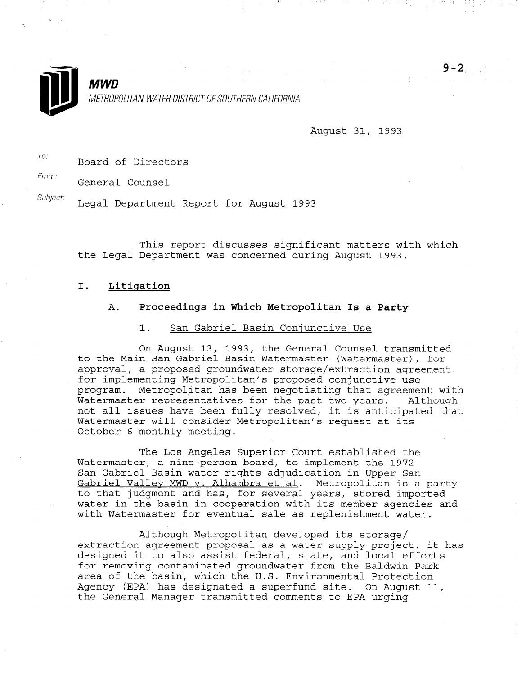

**MWD** METROPOLITAN WATER DISTRICT OF SOUTHERN CALIFORNIA

August 31, 1993

To: Board of Directors

From: General Counsel

Subject: Legal Department Report for August 1993

This report discusses significant matters with which the Legal Department was concerned during August 1993.

### I. Litigation

## A. Proceedings in Which Metropolitan Is a Party

### 1. San Gabriel Basin Coniunctive Use

On August 13, 1993, the General Counsel transmitted to the Main San Gabriel Basin Watermaster (Watermaster), for approval, a proposed groundwater storage/extraction agreement .for implementing Metropolitan's proposed conjunctive use program. Metropolitan has been negotiating that agreement with Watermaster representatives for the past two years. Although not all issues have been fully resolved, it is anticipated that Watermaster will consider Metropolitan's request at its October 6 monthly meeting.

The Los Angeles Superior Court established the Watermaster, a nine-person board, to implement the 1972 San Gabriel Basin water rights adjudication in Upper San Gabriel Gabriel Wacci Inghos adjudication in <u>Opper Gan</u> Gabriel Valley MWD v. Alhambra et al. Metropolitan is a party<br>to that judgment and has, for several years, stored imported water in the basin in cooperation with its member agencies and with Watermaster for eventual sale as replenishment water.

Although Metropolitan developed its storage/ extraction and although metroportical developed its scorage, excredit agreement proposal as a water supply project, designed it to also assist federal, state, and local efforts<br>for removing contaminated groundwater from the Baldwin Park area of the basin, which the U.S. Environmental Protection area or the basin, which the 0.5. Environmental Protection Agency (EPA) has designated a superfund site. On August 11,<br>the General Manager transmitted comments to EPA urging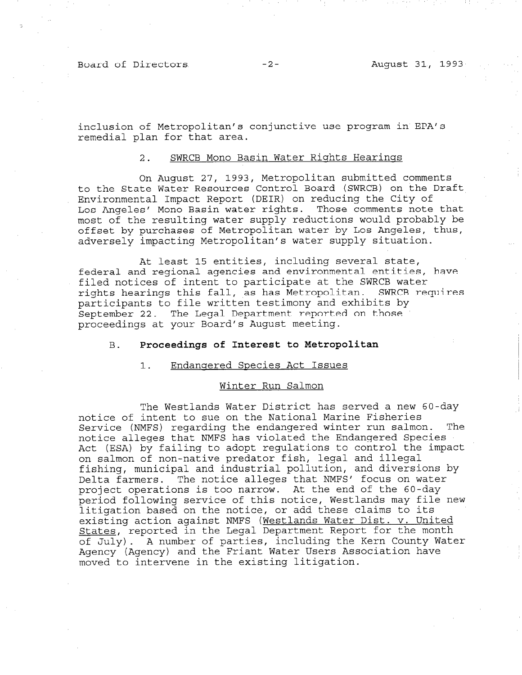Board of Directors -2- August 31, 1993

inclusion of Metropolitan's conjunctive use program in EPA's remedial plan for that area.

### 2. SWRCB Mono Basin Water Riqhts Hearinqs

On August 27, 1993, Metropolitan submitted comments to the State Water Resources Control Board (SWRCB) on the Draft Environmental Impact Report (DEIR) on reducing the City of Los Angeles' Mono Basin water rights. Those comments note that most of the resulting water supply reductions would probably be offset by purchases of Metropolitan water by Los Angeles, thus, adversely impacting Metropolitan's water supply situation.

At least 15 entities, including several state, federal and regional agencies and environmental entities, have filed notices of intent to participate at the SWRCB water rights hearings this fall, as has Metropolitan. SWRCB requires participants to file written testimony and exhibits by September 22. The Legal Department reported on those proceedings at your Board's August meeting.

# B. Proceedings of Interest to Metropolitan

#### 1. Endanqered Species Act Issues

### Winter Run Salmon

The Westlands Water District has served a new 60-day notice of intent to sue on the National Marine Fisheries Service (NMFS) regarding the endangered winter run salmon. The notice alleges that NMFS has violated the Endangered Species Act (ESA) by failing to adopt regulations to control the impact on salmon of non-native predator fish, legal and illegal fishing, municipal and industrial pollution, and diversions by Delta farmers. The notice alleges that NMFS' focus on water project operations is too narrow. At the end of the 60-day period following service of this notice, Westlands may file new litigation based on the notice, or add these claims to its existing action against NMFS (Westlands Water Dist. v. United States, reported in the Legal Department Report for the month of July). A number of parties, including the Kern County Water Agency (Agency) and the Friant Water Users Association have moved to intervene in the existing litigation.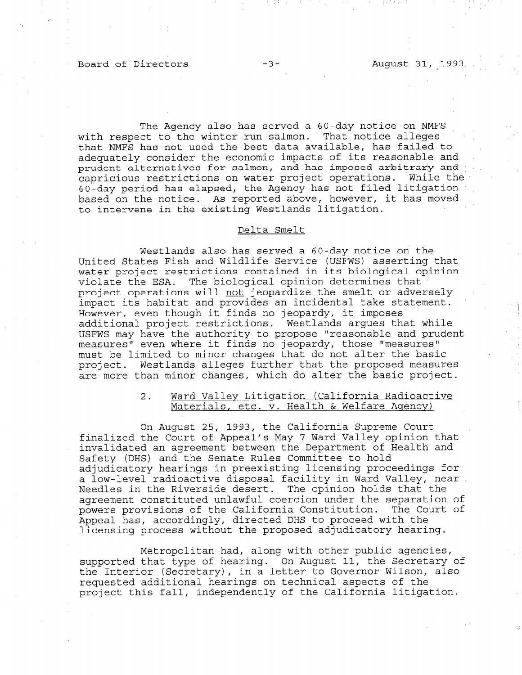### Board of Directors -3- August 31, 1993

The Agency also has served a 60-day notice on NMFS with respect to the winter run salmon. That notice alleges that NMFS has not used the best data available, has failed to adequately consider the economic impacts of its reasonable and prudent alternatives for salmon, and has imposed arbitrary and capricious restrictions on water project operations. While the 60-day period has elapsed, the Agency has not filed litigation based on the notice. As reported above, however, it has moved to intervene in the existing Westlands litigation.

## Delta Smelt

Westlands also has served a 60-day notice on the United States Fish and Wildlife Service (USFWS) asserting that water project restrictions contained in its biological opinion violate the ESA. The biological opinion determines that project operations will not jeopardize the smelt or adversely impact its habitat and provides an incidental take statement. However, even though it finds no jeopardy, it imposes additional project restrictions. Westlands argues that while USFWS may have the authority to propose "reasonable and prudent measures" even where it finds no jeopardy, those "measures" must be limited to minor changes that do not alter the basic project. Westlands alleges further that the proposed measures are more than minor changes, which do alter the basic project.

## 2. Ward Valley Litigation (California Radioactive Materials, etc. v. Health & Welfare Agency)

On August 25, 1993, the California Supreme Court finalized the Court of Appeal's May 7 Ward Valley opinion that invalidated an agreement between the Department of Health and Safety (DHS) and the Senate Rules Committee to hold adjudicatory hearings in preexisting licensing proceedings for a low-level radioactive disposal facility in Ward Valley, near Needles in the Riverside desert. The opinion holds that the agreement constituted unlawful coercion under the separation under the separation of powers provisions of the California Constitution. The Court of powers provisions of the California Constitution. The Court of<br>Appeal has, accordingly, directed DHS to proceed with the licensing process without the proposed adjudicatory hearing.

Metropolitan had, along with other public agencies, supported that type of hearing. On August 11, the Secretary of supported that type of hearing. On August 11, the Secretary rue interior (becretary), in a ferrer to dovernor wilson, requested additional hearings on technical aspects of the<br>project this fall, independently of the California litigation.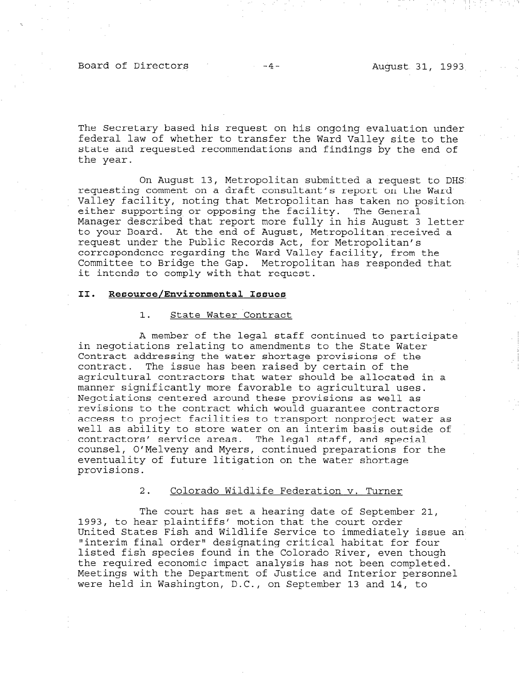Board of Directors -4- August 31, 1993

The Secretary based his request on his ongoing evaluation under federal law of whether to transfer the Ward Valley site to the state and requested recommendations and findings by the end of the year.

On August 13, Metropolitan submitted a request to DHS requesting comment on a draft consultant's report on the Ward Valley facility, noting that Metropolitan has taken no position either supporting or opposing the facility. The General Manager described that report more fully in his August 3 letter to your Board. At the end of August, Metropolitan received a request under the Public Records Act, for Metropolitan's correspondence regarding the Ward Valley facility, from the Committee to Bridge the Gap. Metropolitan has responded that it intends to comply with that request.

# II. Resource/Environmental Issues

### 1. State Water Contract

A member of the legal staff continued to participate in negotiations relating to amendments to the State Water Contract addressing the water shortage provisions of the contract. The issue has been raised by certain of the agricultural contractors that water should be allocated in a manner significantly more favorable to agricultural uses. Negotiations centered around these provisions as well as revisions to the contract which would guarantee contractors access to project facilities to transport nonproject water as well as ability to store water on an interim basis outside of contractors' service areas. The legal staff, and special counsel, O'Melveny and Myers, continued preparations for the eventuality of future litigation on the water shortage provisions.

# 2. Colorado Wildlife Federation v. Turner

The court has set a hearing date of September 21, 1993, to hear plaintiffs' motion that the court order United States Fish and Wildlife Service to immediately issue an United States Fish and Wildlife Service to immediately issue an<br>"interim final order" designating critical habitat for four listed fish species found in the Colorado River, even though the required the required economic and the reduced and the conomic analysis has not been completed. the required economic impact analysis has not been completed. Meetings with the Department of Justice and Interior personnel<br>were held in Washington, D.C., on September 13 and 14, to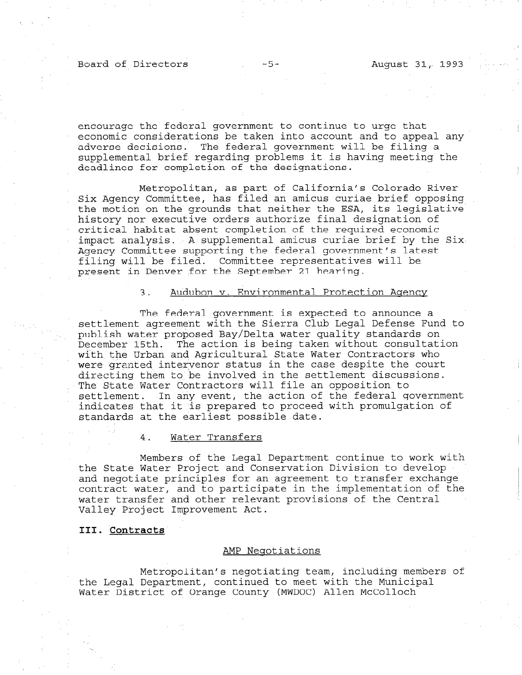### Board of Directors -5- -5- August 31, 1993

encourage the federal government to continue to urge that economic considerations be taken into account and to appeal any adverse decisions. The federal government will be filing a supplemental brief regarding problems it is having meeting the deadlines for completion of the designations.

Metropolitan, as part of California's Colorado River Six Agency Committee, has filed an amicus curiae brief opposing the motion on the grounds that neither the ESA, its legislative history nor executive orders authorize final designation of critical habitat absent completion of the required economic impact analysis. A supplemental amicus curiae brief by the Six Agency Committee supporting the federal government's latest filing will be filed. Committee representatives will be present in Denver for the September 21 hearing.

# 3. Audubon v. Environmental Protection Aqencv

The federal government is expected to announce a settlement agreement with the Sierra Club Legal Defense Fund to publish water proposed Bay/Delta water quality standards on December 15th. The action is being taken without consultation with the Urban and Agricultural State Water Contractors who were granted intervenor status in the case despite the court directing them to, be involved in the settlement discussions. The State Water Contractors will file an opposition to settlement. In any event, the action of the federal government indicates that it is prepared to proceed with promulgation of standards at the earliest possible date.

### 4. Water Transfers

Members of the Legal Department continue to work with the State Water Project and Conservation Division to develop and negotiate principles for an agreement to transfer exchange contract water, and to participate in the implementation of the water transfer and other relevant provisions of the Central Valley Project Improvement Act.

### III. Contracts

#### AMP Neqotiations

Metropolitan's negotiating team, including members of the Legal Department of the Municipal Department of Municipal Municipal Municipal Municipal Municipal Municipal Life hegat Department, continued Compete with the Muni